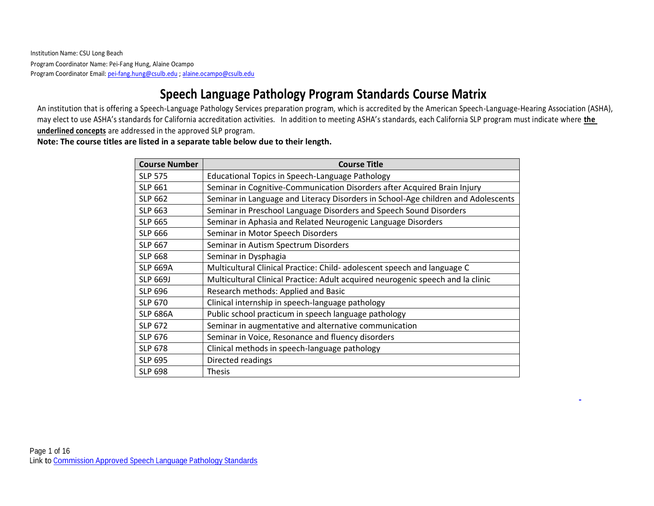# **Speech Language Pathology Program Standards Course Matrix**

An institution that is offering a Speech-Language Pathology Services preparation program, which is accredited by the American Speech-Language-Hearing Association (ASHA), may elect to use ASHA's standards for California accreditation activities. In addition to meeting ASHA's standards, each California SLP program must indicate where **the underlined concepts** are addressed in the approved SLP program.

### **Note: The course titles are listed in a separate table below due to their length.**

| <b>Course Number</b> | <b>Course Title</b>                                                               |
|----------------------|-----------------------------------------------------------------------------------|
| <b>SLP 575</b>       | Educational Topics in Speech-Language Pathology                                   |
| <b>SLP 661</b>       | Seminar in Cognitive-Communication Disorders after Acquired Brain Injury          |
| <b>SLP 662</b>       | Seminar in Language and Literacy Disorders in School-Age children and Adolescents |
| <b>SLP 663</b>       | Seminar in Preschool Language Disorders and Speech Sound Disorders                |
| <b>SLP 665</b>       | Seminar in Aphasia and Related Neurogenic Language Disorders                      |
| <b>SLP 666</b>       | Seminar in Motor Speech Disorders                                                 |
| <b>SLP 667</b>       | Seminar in Autism Spectrum Disorders                                              |
| <b>SLP 668</b>       | Seminar in Dysphagia                                                              |
| <b>SLP 669A</b>      | Multicultural Clinical Practice: Child- adolescent speech and language C          |
| <b>SLP 669J</b>      | Multicultural Clinical Practice: Adult acquired neurogenic speech and la clinic   |
| <b>SLP 696</b>       | Research methods: Applied and Basic                                               |
| <b>SLP 670</b>       | Clinical internship in speech-language pathology                                  |
| <b>SLP 686A</b>      | Public school practicum in speech language pathology                              |
| <b>SLP 672</b>       | Seminar in augmentative and alternative communication                             |
| <b>SLP 676</b>       | Seminar in Voice, Resonance and fluency disorders                                 |
| <b>SLP 678</b>       | Clinical methods in speech-language pathology                                     |
| <b>SLP 695</b>       | Directed readings                                                                 |
| <b>SLP 698</b>       | <b>Thesis</b>                                                                     |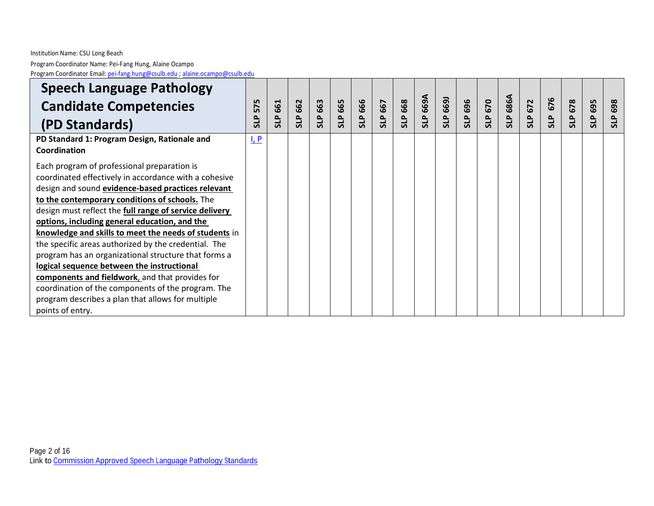| <b>Speech Language Pathology</b>                             |         |            |                |            |            |            |         |          |                     |                 |            |                |            |            |            |            |            |            |
|--------------------------------------------------------------|---------|------------|----------------|------------|------------|------------|---------|----------|---------------------|-----------------|------------|----------------|------------|------------|------------|------------|------------|------------|
| <b>Candidate Competencies</b>                                | 575     | 661        | <b>SLP 662</b> | 663        | 665        | 666        | SLP 667 | 668      | AG99<br>ALP<br>669A | 6691            | 696        | <b>SLP 670</b> | 686A       | 672        | 676        | 678        | 695        | 698        |
| (PD Standards)                                               | مر<br>5 | <b>SLP</b> |                | <b>SLP</b> | <b>SLP</b> | <b>SLP</b> |         | <b>q</b> |                     | $\overline{51}$ | <b>qus</b> |                | <b>SLP</b> | <b>SLP</b> | <b>SLP</b> | <b>SLP</b> | <b>GLS</b> | <b>SLP</b> |
| PD Standard 1: Program Design, Rationale and<br>Coordination | $L$ $P$ |            |                |            |            |            |         |          |                     |                 |            |                |            |            |            |            |            |            |
| Each program of professional preparation is                  |         |            |                |            |            |            |         |          |                     |                 |            |                |            |            |            |            |            |            |
| coordinated effectively in accordance with a cohesive        |         |            |                |            |            |            |         |          |                     |                 |            |                |            |            |            |            |            |            |
| design and sound evidence-based practices relevant           |         |            |                |            |            |            |         |          |                     |                 |            |                |            |            |            |            |            |            |
| to the contemporary conditions of schools. The               |         |            |                |            |            |            |         |          |                     |                 |            |                |            |            |            |            |            |            |
| design must reflect the full range of service delivery       |         |            |                |            |            |            |         |          |                     |                 |            |                |            |            |            |            |            |            |
| options, including general education, and the                |         |            |                |            |            |            |         |          |                     |                 |            |                |            |            |            |            |            |            |
| knowledge and skills to meet the needs of students in        |         |            |                |            |            |            |         |          |                     |                 |            |                |            |            |            |            |            |            |
| the specific areas authorized by the credential. The         |         |            |                |            |            |            |         |          |                     |                 |            |                |            |            |            |            |            |            |
| program has an organizational structure that forms a         |         |            |                |            |            |            |         |          |                     |                 |            |                |            |            |            |            |            |            |
| logical sequence between the instructional                   |         |            |                |            |            |            |         |          |                     |                 |            |                |            |            |            |            |            |            |
| components and fieldwork, and that provides for              |         |            |                |            |            |            |         |          |                     |                 |            |                |            |            |            |            |            |            |
| coordination of the components of the program. The           |         |            |                |            |            |            |         |          |                     |                 |            |                |            |            |            |            |            |            |
| program describes a plan that allows for multiple            |         |            |                |            |            |            |         |          |                     |                 |            |                |            |            |            |            |            |            |
| points of entry.                                             |         |            |                |            |            |            |         |          |                     |                 |            |                |            |            |            |            |            |            |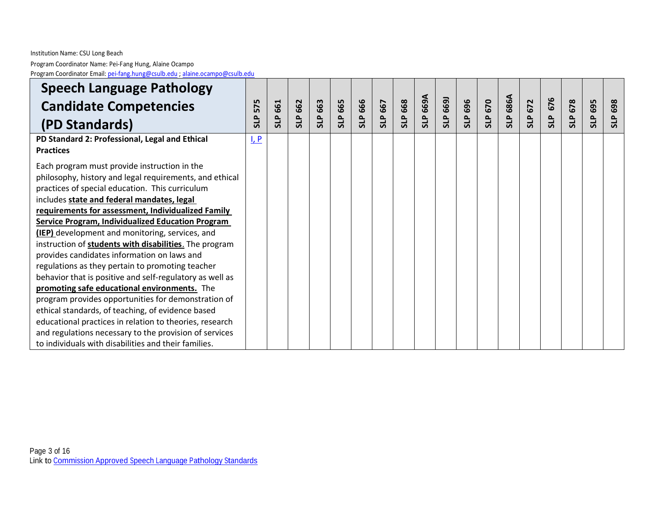| <b>Speech Language Pathology</b>                                                                                                                                                                                                                                                                                                                                                                                                                                                                                                                                                                                                                                                                                                                                                                                                     |            |     |                |         |     |                |         |            |          |                 |            |         |            |            |            |            |            |            |
|--------------------------------------------------------------------------------------------------------------------------------------------------------------------------------------------------------------------------------------------------------------------------------------------------------------------------------------------------------------------------------------------------------------------------------------------------------------------------------------------------------------------------------------------------------------------------------------------------------------------------------------------------------------------------------------------------------------------------------------------------------------------------------------------------------------------------------------|------------|-----|----------------|---------|-----|----------------|---------|------------|----------|-----------------|------------|---------|------------|------------|------------|------------|------------|------------|
| <b>Candidate Competencies</b>                                                                                                                                                                                                                                                                                                                                                                                                                                                                                                                                                                                                                                                                                                                                                                                                        | 575        | 661 | <b>SLP 662</b> | SLP 663 | 665 | <b>SLP 666</b> | SLP 667 | 668        | SLP 669A | <b>SLP 669J</b> | 696        | SLP 670 | 686A       | 672        | 676        | 678        | 695        | 698        |
| (PD Standards)                                                                                                                                                                                                                                                                                                                                                                                                                                                                                                                                                                                                                                                                                                                                                                                                                       | <b>SLP</b> | SLP |                |         | SLP |                |         | <b>SLP</b> |          |                 | <b>SLP</b> |         | <b>SLP</b> | <b>SLP</b> | <b>SLP</b> | <b>SLP</b> | <b>SLP</b> | <b>SLP</b> |
| PD Standard 2: Professional, Legal and Ethical<br><b>Practices</b>                                                                                                                                                                                                                                                                                                                                                                                                                                                                                                                                                                                                                                                                                                                                                                   | $L$ $P$    |     |                |         |     |                |         |            |          |                 |            |         |            |            |            |            |            |            |
| Each program must provide instruction in the<br>philosophy, history and legal requirements, and ethical<br>practices of special education. This curriculum<br>includes state and federal mandates, legal<br>requirements for assessment, Individualized Family<br><b>Service Program, Individualized Education Program</b><br><b>(IEP)</b> development and monitoring, services, and<br>instruction of students with disabilities. The program<br>provides candidates information on laws and<br>regulations as they pertain to promoting teacher<br>behavior that is positive and self-regulatory as well as<br>promoting safe educational environments. The<br>program provides opportunities for demonstration of<br>ethical standards, of teaching, of evidence based<br>educational practices in relation to theories, research |            |     |                |         |     |                |         |            |          |                 |            |         |            |            |            |            |            |            |
| and regulations necessary to the provision of services<br>to individuals with disabilities and their families.                                                                                                                                                                                                                                                                                                                                                                                                                                                                                                                                                                                                                                                                                                                       |            |     |                |         |     |                |         |            |          |                 |            |         |            |            |            |            |            |            |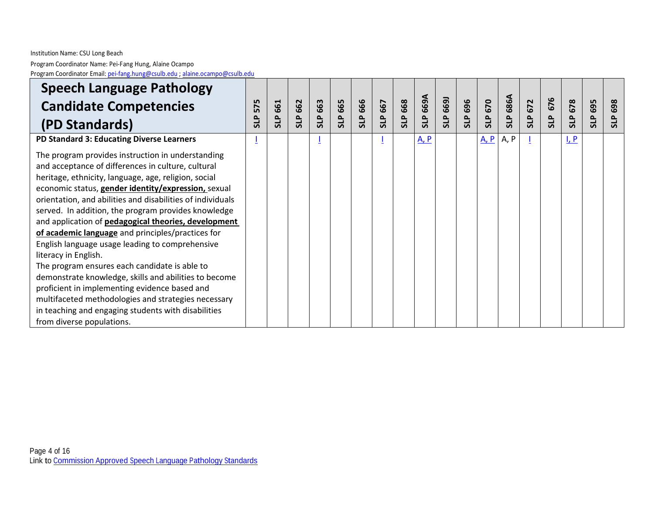| <b>Speech Language Pathology</b>                                                                                                                                                                                                                                                                                                                                                                                                   |            |            |            |            |            |            |         |            |                  |      |     |                |            |            |            |          |            |            |
|------------------------------------------------------------------------------------------------------------------------------------------------------------------------------------------------------------------------------------------------------------------------------------------------------------------------------------------------------------------------------------------------------------------------------------|------------|------------|------------|------------|------------|------------|---------|------------|------------------|------|-----|----------------|------------|------------|------------|----------|------------|------------|
| <b>Candidate Competencies</b>                                                                                                                                                                                                                                                                                                                                                                                                      | 575        | 661        | 662        | 663        | 665        | 666        | SLP 667 | 668        | 669A             | 6691 | 696 | <b>SLP 670</b> | 686A       | 672        | 676        | 678      | 695        | 698        |
| (PD Standards)                                                                                                                                                                                                                                                                                                                                                                                                                     | <b>SLP</b> | <b>SLP</b> | <b>SLP</b> | <b>SLP</b> | <b>SLP</b> | <b>SLP</b> |         | <b>SLP</b> | $\overline{510}$ | SLP  | 915 |                | <b>SLP</b> | <b>SLP</b> | <b>SLP</b> | <b>d</b> | <b>SLP</b> | <b>SLP</b> |
| PD Standard 3: Educating Diverse Learners                                                                                                                                                                                                                                                                                                                                                                                          |            |            |            |            |            |            |         |            | $A$ , $P$        |      |     | <u>A</u> , P   | A, P       |            |            | $L$ $P$  |            |            |
| The program provides instruction in understanding<br>and acceptance of differences in culture, cultural<br>heritage, ethnicity, language, age, religion, social<br>economic status, gender identity/expression, sexual<br>orientation, and abilities and disabilities of individuals<br>served. In addition, the program provides knowledge<br>and application of pedagogical theories, development                                |            |            |            |            |            |            |         |            |                  |      |     |                |            |            |            |          |            |            |
| of academic language and principles/practices for<br>English language usage leading to comprehensive<br>literacy in English.<br>The program ensures each candidate is able to<br>demonstrate knowledge, skills and abilities to become<br>proficient in implementing evidence based and<br>multifaceted methodologies and strategies necessary<br>in teaching and engaging students with disabilities<br>from diverse populations. |            |            |            |            |            |            |         |            |                  |      |     |                |            |            |            |          |            |            |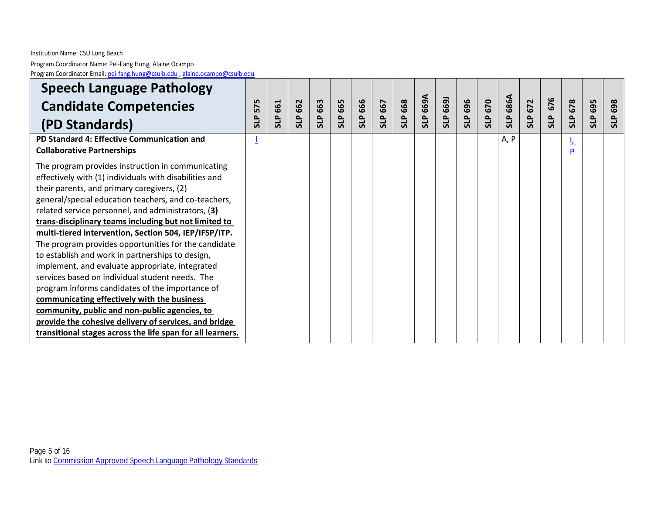| <b>Speech Language Pathology</b>                                                                            |            |            |            |         |            |                |                |     |          |            |     |                |                 |                          |            |               |            |            |
|-------------------------------------------------------------------------------------------------------------|------------|------------|------------|---------|------------|----------------|----------------|-----|----------|------------|-----|----------------|-----------------|--------------------------|------------|---------------|------------|------------|
| <b>Candidate Competencies</b>                                                                               | 575        | 661        | 662        | SLP 663 | 665        | <b>SLP 666</b> | 667            | 668 | SLP 669A | 6691       | 696 | <b>SLP 670</b> | <b>SLP 686A</b> | 672                      | 676        | 678           | 695        | 698        |
| (PD Standards)                                                                                              | <b>SLP</b> | <b>SLP</b> | <b>SLP</b> |         | <b>SLP</b> |                | $\overline{5}$ | SLP |          | <b>SLP</b> | 915 |                |                 | $\mathbf{r}$<br><b>S</b> | <b>SLP</b> | <b>SLP</b>    | <b>SLP</b> | <b>SLP</b> |
| PD Standard 4: Effective Communication and<br><b>Collaborative Partnerships</b>                             |            |            |            |         |            |                |                |     |          |            |     |                | A, P            |                          |            | <u>ட</u><br>P |            |            |
| The program provides instruction in communicating<br>effectively with (1) individuals with disabilities and |            |            |            |         |            |                |                |     |          |            |     |                |                 |                          |            |               |            |            |
| their parents, and primary caregivers, (2)                                                                  |            |            |            |         |            |                |                |     |          |            |     |                |                 |                          |            |               |            |            |
| general/special education teachers, and co-teachers,                                                        |            |            |            |         |            |                |                |     |          |            |     |                |                 |                          |            |               |            |            |
| related service personnel, and administrators, (3)<br>trans-disciplinary teams including but not limited to |            |            |            |         |            |                |                |     |          |            |     |                |                 |                          |            |               |            |            |
| multi-tiered intervention, Section 504, IEP/IFSP/ITP.                                                       |            |            |            |         |            |                |                |     |          |            |     |                |                 |                          |            |               |            |            |
| The program provides opportunities for the candidate                                                        |            |            |            |         |            |                |                |     |          |            |     |                |                 |                          |            |               |            |            |
| to establish and work in partnerships to design,                                                            |            |            |            |         |            |                |                |     |          |            |     |                |                 |                          |            |               |            |            |
| implement, and evaluate appropriate, integrated                                                             |            |            |            |         |            |                |                |     |          |            |     |                |                 |                          |            |               |            |            |
| services based on individual student needs. The                                                             |            |            |            |         |            |                |                |     |          |            |     |                |                 |                          |            |               |            |            |
| program informs candidates of the importance of                                                             |            |            |            |         |            |                |                |     |          |            |     |                |                 |                          |            |               |            |            |
| communicating effectively with the business                                                                 |            |            |            |         |            |                |                |     |          |            |     |                |                 |                          |            |               |            |            |
| community, public and non-public agencies, to                                                               |            |            |            |         |            |                |                |     |          |            |     |                |                 |                          |            |               |            |            |
| provide the cohesive delivery of services, and bridge                                                       |            |            |            |         |            |                |                |     |          |            |     |                |                 |                          |            |               |            |            |
| transitional stages across the life span for all learners.                                                  |            |            |            |         |            |                |                |     |          |            |     |                |                 |                          |            |               |            |            |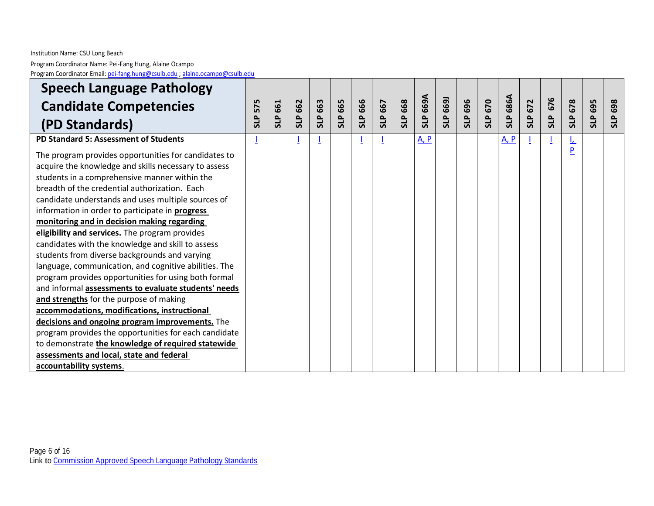| <b>Speech Language Pathology</b>                                                                                                                                                                                                                                                                                                                                                                                                                                                                                                                                                                                                                                                                                                                                                                                                                                                                                                                                                                                        |            |            |                |         |            |                |         |     |           |          |     |         |            |     |            |            |     |            |
|-------------------------------------------------------------------------------------------------------------------------------------------------------------------------------------------------------------------------------------------------------------------------------------------------------------------------------------------------------------------------------------------------------------------------------------------------------------------------------------------------------------------------------------------------------------------------------------------------------------------------------------------------------------------------------------------------------------------------------------------------------------------------------------------------------------------------------------------------------------------------------------------------------------------------------------------------------------------------------------------------------------------------|------------|------------|----------------|---------|------------|----------------|---------|-----|-----------|----------|-----|---------|------------|-----|------------|------------|-----|------------|
| <b>Candidate Competencies</b>                                                                                                                                                                                                                                                                                                                                                                                                                                                                                                                                                                                                                                                                                                                                                                                                                                                                                                                                                                                           | 575        | 661        | <b>SLP 662</b> | SLP 663 | 665        | <b>SLP 666</b> | SLP 667 | 668 | SLP 669A  | SLP 669J | 696 | SLP 670 | 686A       | 672 | 676        | 678        | 695 | 698        |
| (PD Standards)                                                                                                                                                                                                                                                                                                                                                                                                                                                                                                                                                                                                                                                                                                                                                                                                                                                                                                                                                                                                          | <b>SLP</b> | <b>SLP</b> |                |         | <b>SLP</b> |                |         | 5L  |           |          | 5LP |         | <b>SLP</b> | 915 | <b>SLP</b> | <b>que</b> | SLP | <b>SLP</b> |
| PD Standard 5: Assessment of Students                                                                                                                                                                                                                                                                                                                                                                                                                                                                                                                                                                                                                                                                                                                                                                                                                                                                                                                                                                                   |            |            |                |         |            |                |         |     | $A$ , $P$ |          |     |         | $A$ , $P$  |     |            | ╩          |     |            |
| The program provides opportunities for candidates to<br>acquire the knowledge and skills necessary to assess<br>students in a comprehensive manner within the<br>breadth of the credential authorization. Each<br>candidate understands and uses multiple sources of<br>information in order to participate in <b>progress</b><br>monitoring and in decision making regarding<br>eligibility and services. The program provides<br>candidates with the knowledge and skill to assess<br>students from diverse backgrounds and varying<br>language, communication, and cognitive abilities. The<br>program provides opportunities for using both formal<br>and informal assessments to evaluate students' needs<br>and strengths for the purpose of making<br>accommodations, modifications, instructional<br>decisions and ongoing program improvements. The<br>program provides the opportunities for each candidate<br>to demonstrate the knowledge of required statewide<br>assessments and local, state and federal |            |            |                |         |            |                |         |     |           |          |     |         |            |     |            | P          |     |            |
| accountability systems.                                                                                                                                                                                                                                                                                                                                                                                                                                                                                                                                                                                                                                                                                                                                                                                                                                                                                                                                                                                                 |            |            |                |         |            |                |         |     |           |          |     |         |            |     |            |            |     |            |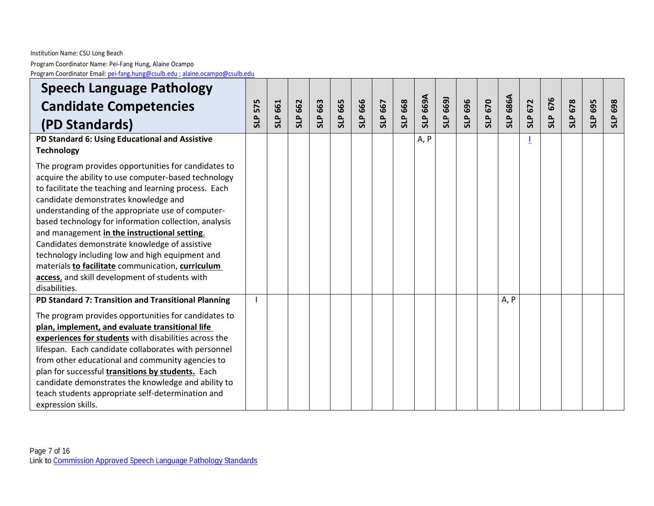Program Coordinator Name: Pei -Fang Hung, Alaine Ocampo Program Coordinator Email: pei[-fang.hung@csulb.edu](mailto:pei-fang.hung@csulb.edu) ; [alaine.ocampo@csulb.edu](mailto:alaine.ocampo@csulb.edu)

| <b>Speech Language Pathology</b>                                                                                                                                                                                                                                                                                                                                                                                                                                                                                                                                                                        |            |            |                |                  |            |            |         |     |          |                 |            |         |            |            |            |            |            |            |
|---------------------------------------------------------------------------------------------------------------------------------------------------------------------------------------------------------------------------------------------------------------------------------------------------------------------------------------------------------------------------------------------------------------------------------------------------------------------------------------------------------------------------------------------------------------------------------------------------------|------------|------------|----------------|------------------|------------|------------|---------|-----|----------|-----------------|------------|---------|------------|------------|------------|------------|------------|------------|
| <b>Candidate Competencies</b>                                                                                                                                                                                                                                                                                                                                                                                                                                                                                                                                                                           | 575        | 661        |                | 663              | 665        | 666        |         | 668 | SLP 669A | <b>SLP 6691</b> | 696        | SLP 670 | 686A       | 672        | 676        | 678        | 695        | 698        |
| (PD Standards)                                                                                                                                                                                                                                                                                                                                                                                                                                                                                                                                                                                          | <b>SLP</b> | <b>SLP</b> | <b>SLP 662</b> | SLP <sub>I</sub> | <b>SLP</b> | <b>SLP</b> | SLP 667 | SLP |          |                 | <b>SLP</b> |         | <b>SLP</b> | <b>SLP</b> | <b>SLP</b> | <b>SLP</b> | <b>SLP</b> | <b>SLP</b> |
| PD Standard 6: Using Educational and Assistive<br><b>Technology</b>                                                                                                                                                                                                                                                                                                                                                                                                                                                                                                                                     |            |            |                |                  |            |            |         |     | A, P     |                 |            |         |            |            |            |            |            |            |
| The program provides opportunities for candidates to<br>acquire the ability to use computer-based technology<br>to facilitate the teaching and learning process. Each<br>candidate demonstrates knowledge and<br>understanding of the appropriate use of computer-<br>based technology for information collection, analysis<br>and management in the instructional setting.<br>Candidates demonstrate knowledge of assistive<br>technology including low and high equipment and<br>materials to facilitate communication, curriculum<br>access, and skill development of students with<br>disabilities. |            |            |                |                  |            |            |         |     |          |                 |            |         |            |            |            |            |            |            |
| PD Standard 7: Transition and Transitional Planning<br>The program provides opportunities for candidates to<br>plan, implement, and evaluate transitional life<br>experiences for students with disabilities across the<br>lifespan. Each candidate collaborates with personnel<br>from other educational and community agencies to<br>plan for successful transitions by students. Each<br>candidate demonstrates the knowledge and ability to<br>teach students appropriate self-determination and<br>expression skills.                                                                              |            |            |                |                  |            |            |         |     |          |                 |            |         | A, P       |            |            |            |            |            |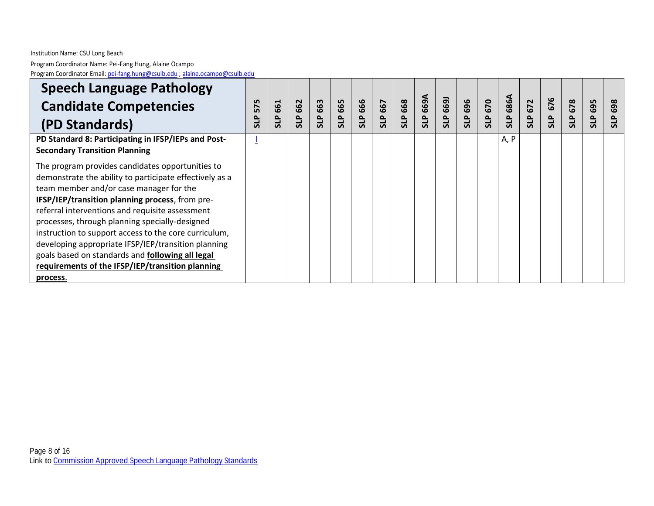| <b>Speech Language Pathology</b>                        |            |                  |     |         |            |            |     |              |            |            |     |            |      |            |            |            |            |            |
|---------------------------------------------------------|------------|------------------|-----|---------|------------|------------|-----|--------------|------------|------------|-----|------------|------|------------|------------|------------|------------|------------|
| <b>Candidate Competencies</b>                           | 575        | H<br>$\tilde{6}$ | 662 | SLP 663 | 665        | 666        | 667 | 668          | 669A       | 6691       | 696 | 670        | 686A | 672        | 676        | 678        | 695        | 698        |
| (PD Standards)                                          | <b>GLS</b> | <b>GIS</b>       | 915 |         | <b>GIS</b> | <b>SLP</b> | SLP | $\mathbf{r}$ | <b>SLP</b> | <b>SLP</b> | ≞   | <b>GIS</b> | SLP  | <b>GIS</b> | <b>SLP</b> | <b>ATS</b> | <b>ATS</b> | <b>SLP</b> |
| PD Standard 8: Participating in IFSP/IEPs and Post-     |            |                  |     |         |            |            |     |              |            |            |     |            | A, P |            |            |            |            |            |
| <b>Secondary Transition Planning</b>                    |            |                  |     |         |            |            |     |              |            |            |     |            |      |            |            |            |            |            |
| The program provides candidates opportunities to        |            |                  |     |         |            |            |     |              |            |            |     |            |      |            |            |            |            |            |
| demonstrate the ability to participate effectively as a |            |                  |     |         |            |            |     |              |            |            |     |            |      |            |            |            |            |            |
| team member and/or case manager for the                 |            |                  |     |         |            |            |     |              |            |            |     |            |      |            |            |            |            |            |
| IFSP/IEP/transition planning process, from pre-         |            |                  |     |         |            |            |     |              |            |            |     |            |      |            |            |            |            |            |
| referral interventions and requisite assessment         |            |                  |     |         |            |            |     |              |            |            |     |            |      |            |            |            |            |            |
| processes, through planning specially-designed          |            |                  |     |         |            |            |     |              |            |            |     |            |      |            |            |            |            |            |
| instruction to support access to the core curriculum,   |            |                  |     |         |            |            |     |              |            |            |     |            |      |            |            |            |            |            |
| developing appropriate IFSP/IEP/transition planning     |            |                  |     |         |            |            |     |              |            |            |     |            |      |            |            |            |            |            |
| goals based on standards and following all legal        |            |                  |     |         |            |            |     |              |            |            |     |            |      |            |            |            |            |            |
| requirements of the IFSP/IEP/transition planning        |            |                  |     |         |            |            |     |              |            |            |     |            |      |            |            |            |            |            |
| process.                                                |            |                  |     |         |            |            |     |              |            |            |     |            |      |            |            |            |            |            |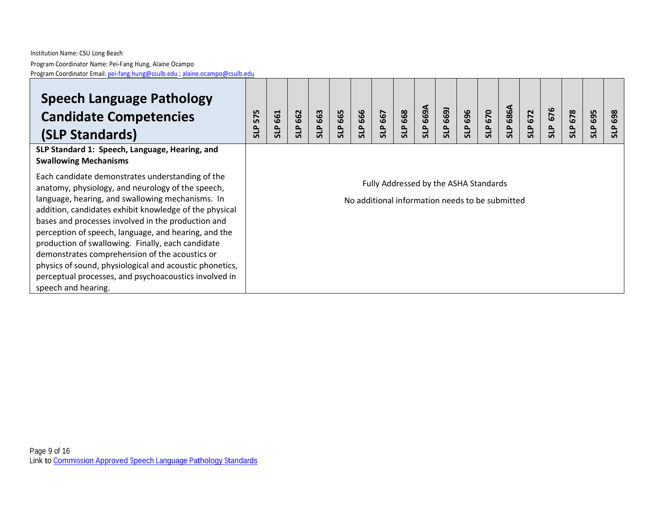# **Speech Language Pathology Candidate Competencies (SLP Standards)**

# **SLP Standard 1: Speech, Language, Hearing, and Swallowing Mechanisms**

Each candidate demonstrates understanding of the anatomy, physiology, and neurology of the speech, language, hearing, and swallowing mechanisms. In addition, candidates exhibit knowledge of the physical bases and processes involved in the production and perception of speech, language, and hearing, and the production of swallowing. Finally, each candidate demonstrates comprehension of the acoustics or physics of sound, physiological and acoustic phonetics, perceptual processes, and psychoacoustics involved in speech and hearing.

**SLP 575 SLP 661 SLP 662 SLP 663 SLP 665 SLP 666 SLP 667 SLP 668 SLP 669A SLP 669J SLP 696 SLP 670 SLP 686A SLP 672 SLP 676 SLP 678 SLP 695 SLP 69 8**

Fully Addressed by the ASHA Standards

No additional information needs to be submitted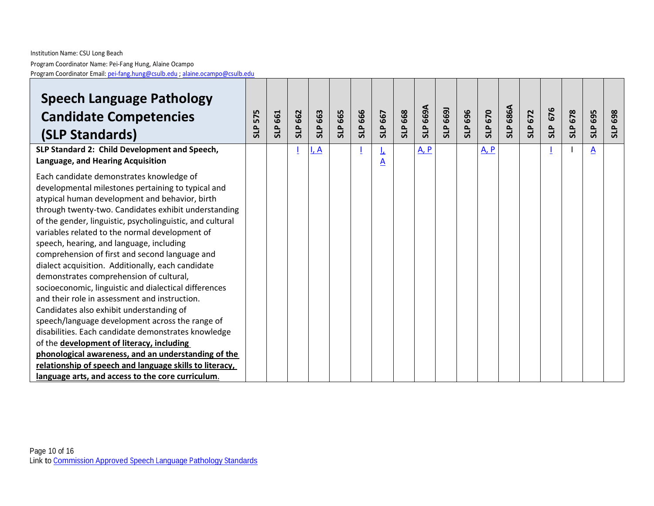| <b>Speech Language Pathology</b><br><b>Candidate Competencies</b><br>(SLP Standards)<br>SLP Standard 2: Child Development and Speech,                                                                                                                                                                                                                                                                                                                                                                                                                                                                                                                                                                                                                                                                                                                                                                                                                                                                                                          | 575<br><b>SLP</b> | 661<br><b>SLP</b> | <b>SLP 662</b> | SLP 663<br>I, A | 665<br><b>SLP</b> | <b>SLP 666</b> | 667<br>916<br>丘 | 668<br><b>SLP</b> | SLP 669A<br>$A$ , $P$ | SLP 669J | 696<br>5LP | <b>SLP 670</b><br>A, P | <b>SLP 686A</b> | 672<br><b>SLP</b> | 676<br><b>SLP</b> | <b>SLP 678</b> | 695<br><b>SLP</b><br>$\underline{A}$ | 698<br><b>SLP</b> |
|------------------------------------------------------------------------------------------------------------------------------------------------------------------------------------------------------------------------------------------------------------------------------------------------------------------------------------------------------------------------------------------------------------------------------------------------------------------------------------------------------------------------------------------------------------------------------------------------------------------------------------------------------------------------------------------------------------------------------------------------------------------------------------------------------------------------------------------------------------------------------------------------------------------------------------------------------------------------------------------------------------------------------------------------|-------------------|-------------------|----------------|-----------------|-------------------|----------------|-----------------|-------------------|-----------------------|----------|------------|------------------------|-----------------|-------------------|-------------------|----------------|--------------------------------------|-------------------|
| Language, and Hearing Acquisition<br>Each candidate demonstrates knowledge of<br>developmental milestones pertaining to typical and<br>atypical human development and behavior, birth<br>through twenty-two. Candidates exhibit understanding<br>of the gender, linguistic, psycholinguistic, and cultural<br>variables related to the normal development of<br>speech, hearing, and language, including<br>comprehension of first and second language and<br>dialect acquisition. Additionally, each candidate<br>demonstrates comprehension of cultural,<br>socioeconomic, linguistic and dialectical differences<br>and their role in assessment and instruction.<br>Candidates also exhibit understanding of<br>speech/language development across the range of<br>disabilities. Each candidate demonstrates knowledge<br>of the development of literacy, including<br>phonological awareness, and an understanding of the<br>relationship of speech and language skills to literacy,<br>language arts, and access to the core curriculum. |                   |                   |                |                 |                   |                | A               |                   |                       |          |            |                        |                 |                   |                   |                |                                      |                   |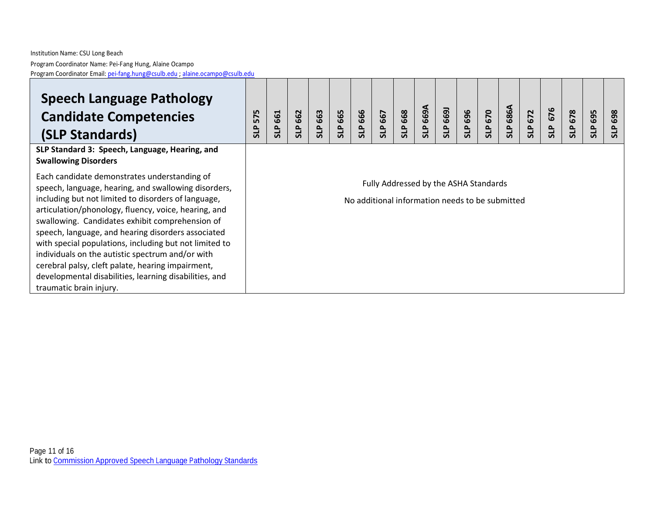# **Speech Language Pathology Candidate Competencies (SLP Standards)**

# **SLP Standard 3: Speech, Language, Hearing, and Swallowing Disorders**

Each candidate demonstrates understanding of speech, language, hearing, and swallowing disorders, including but not limited to disorders of language, articulation/phonology, fluency, voice, hearing, and swallowing. Candidates exhibit comprehension of speech, language, and hearing disorders associated with special populations, including but not limited to individuals on the autistic spectrum and/or with cerebral palsy, cleft palate, hearing impairment, developmental disabilities, learning disabilities, and traumatic brain injury.

| @csulb.edu |                      |               |                   |                                 |                                   |                                   |               |               |                       |                   |                   |                   |                    |                    |                      |               |                   |                                   |  |
|------------|----------------------|---------------|-------------------|---------------------------------|-----------------------------------|-----------------------------------|---------------|---------------|-----------------------|-------------------|-------------------|-------------------|--------------------|--------------------|----------------------|---------------|-------------------|-----------------------------------|--|
|            | 575<br>$\Delta$<br>ಕ | 661<br>௨<br>ಕ | 662<br><b>SLP</b> | 663<br>$\sim$<br>$\overline{5}$ | 665<br>$\Delta$<br>$\overline{5}$ | 666<br>$\Delta$<br>$\overline{5}$ | 667<br>௨<br>ದ | 668<br>௨<br>ದ | 669A<br>$\Delta$<br>ದ | 669<br><b>SLP</b> | 696<br><b>SLP</b> | 670<br><b>SLP</b> | 686A<br><b>SLP</b> | 672<br>$\sim$<br>긂 | 676<br>$\Delta$<br>ದ | 678<br>௨<br>ದ | 695<br><b>SLP</b> | 698<br>$\Delta$<br>$\overline{5}$ |  |
|            |                      |               |                   |                                 |                                   |                                   |               |               |                       |                   |                   |                   |                    |                    |                      |               |                   |                                   |  |

Fully Addressed by the ASHA Standards

No additional information needs to be submitted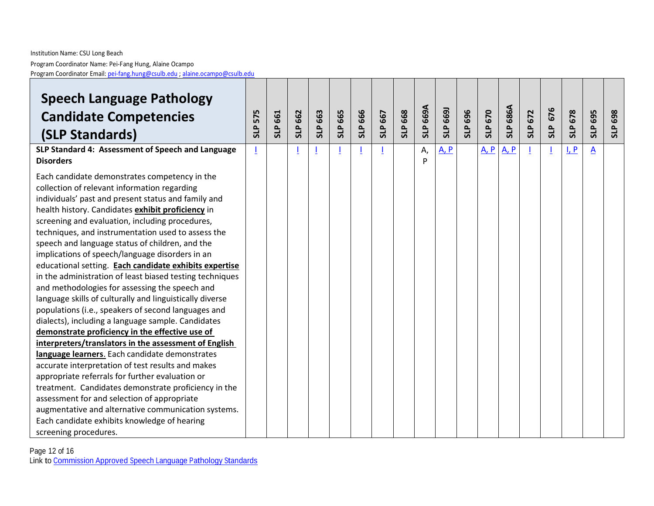#### Institution Name: CSU Long Beach Program Coordinator Name: Pei -Fang Hung, Alaine Ocampo Program Coordinator Email: pei[-fang.hung@csulb.edu](mailto:pei-fang.hung@csulb.edu) ; [alaine.ocampo@csulb.edu](mailto:alaine.ocampo@csulb.edu)

| <b>Speech Language Pathology</b><br><b>Candidate Competencies</b><br>(SLP Standards)                                                                                                                                                                                                                                                                                                                                                                                                                                                                                                                                                                                                                                                                                                                                                                                                                                                                                                                                                                                                                                                                                                                                                                                                   | 575<br><b>SLP</b> | 661<br>SLP <sub>I</sub> | <b>SLP 662</b> | SLP 663 | <b>SLP 665</b> | <b>SLP 666</b> | SLP 667 | 668<br>SLP | SLP 669A | <b>SLP 669J</b> | <b>SLP 696</b> | SLP 670 | <b>SLP 686A</b> | 672<br><b>SLP</b> | 676<br><b>SLP</b> | <b>SLP 678</b> | 695<br><b>SLP</b> | <b>SLP 698</b> |
|----------------------------------------------------------------------------------------------------------------------------------------------------------------------------------------------------------------------------------------------------------------------------------------------------------------------------------------------------------------------------------------------------------------------------------------------------------------------------------------------------------------------------------------------------------------------------------------------------------------------------------------------------------------------------------------------------------------------------------------------------------------------------------------------------------------------------------------------------------------------------------------------------------------------------------------------------------------------------------------------------------------------------------------------------------------------------------------------------------------------------------------------------------------------------------------------------------------------------------------------------------------------------------------|-------------------|-------------------------|----------------|---------|----------------|----------------|---------|------------|----------|-----------------|----------------|---------|-----------------|-------------------|-------------------|----------------|-------------------|----------------|
| SLP Standard 4: Assessment of Speech and Language<br><b>Disorders</b>                                                                                                                                                                                                                                                                                                                                                                                                                                                                                                                                                                                                                                                                                                                                                                                                                                                                                                                                                                                                                                                                                                                                                                                                                  | 1                 |                         |                |         |                |                |         |            | А,<br>D  | A, P            |                | A, P    | <u>A, P</u>     |                   |                   | I, P           | A                 |                |
| Each candidate demonstrates competency in the<br>collection of relevant information regarding<br>individuals' past and present status and family and<br>health history. Candidates exhibit proficiency in<br>screening and evaluation, including procedures,<br>techniques, and instrumentation used to assess the<br>speech and language status of children, and the<br>implications of speech/language disorders in an<br>educational setting. Each candidate exhibits expertise<br>in the administration of least biased testing techniques<br>and methodologies for assessing the speech and<br>language skills of culturally and linguistically diverse<br>populations (i.e., speakers of second languages and<br>dialects), including a language sample. Candidates<br>demonstrate proficiency in the effective use of<br>interpreters/translators in the assessment of English<br>language learners. Each candidate demonstrates<br>accurate interpretation of test results and makes<br>appropriate referrals for further evaluation or<br>treatment. Candidates demonstrate proficiency in the<br>assessment for and selection of appropriate<br>augmentative and alternative communication systems.<br>Each candidate exhibits knowledge of hearing<br>screening procedures. |                   |                         |                |         |                |                |         |            |          |                 |                |         |                 |                   |                   |                |                   |                |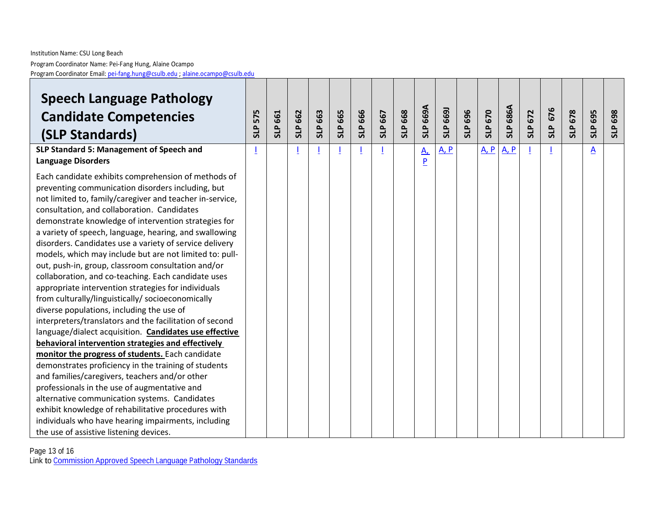#### Institution Name: CSU Long Beach Program Coordinator Name: Pei -Fang Hung, Alaine Ocampo Program Coordinator Email: pei[-fang.hung@csulb.edu](mailto:pei-fang.hung@csulb.edu) ; [alaine.ocampo@csulb.edu](mailto:alaine.ocampo@csulb.edu)

| <b>Speech Language Pathology</b><br><b>Candidate Competencies</b><br>(SLP Standards)<br>SLP Standard 5: Management of Speech and                                                                                                                                                                                                                                                                                                                                                                                                                                                                                                                                                                                                                                                                                                                                                                             | 575<br><b>SLP</b> | 661<br><b>SLP</b> | <b>SLP 662</b> | <b>SLP 663</b> | 665<br><b>SLP</b> | <b>SLP 666</b> | SLP 667 | 668<br><b>SLP</b> | SLP 669A     | SLP 669J    | 696<br><b>SLP</b> | <b>SLP 670</b> | <b>SLP 686A</b> | 672<br><b>SLP</b> | 676<br><b>SLP</b> | <b>SLP 678</b> | 695<br><b>SLP</b> | 698<br><b>SLP</b> |
|--------------------------------------------------------------------------------------------------------------------------------------------------------------------------------------------------------------------------------------------------------------------------------------------------------------------------------------------------------------------------------------------------------------------------------------------------------------------------------------------------------------------------------------------------------------------------------------------------------------------------------------------------------------------------------------------------------------------------------------------------------------------------------------------------------------------------------------------------------------------------------------------------------------|-------------------|-------------------|----------------|----------------|-------------------|----------------|---------|-------------------|--------------|-------------|-------------------|----------------|-----------------|-------------------|-------------------|----------------|-------------------|-------------------|
| <b>Language Disorders</b>                                                                                                                                                                                                                                                                                                                                                                                                                                                                                                                                                                                                                                                                                                                                                                                                                                                                                    |                   |                   |                |                |                   |                |         |                   | $A_{1}$<br>P | <u>A, P</u> |                   | <u>A, P</u>    | $A$ , $P$       |                   |                   |                | $\underline{A}$   |                   |
| Each candidate exhibits comprehension of methods of<br>preventing communication disorders including, but<br>not limited to, family/caregiver and teacher in-service,<br>consultation, and collaboration. Candidates<br>demonstrate knowledge of intervention strategies for<br>a variety of speech, language, hearing, and swallowing<br>disorders. Candidates use a variety of service delivery<br>models, which may include but are not limited to: pull-<br>out, push-in, group, classroom consultation and/or<br>collaboration, and co-teaching. Each candidate uses<br>appropriate intervention strategies for individuals<br>from culturally/linguistically/ socioeconomically<br>diverse populations, including the use of<br>interpreters/translators and the facilitation of second<br>language/dialect acquisition. Candidates use effective<br>behavioral intervention strategies and effectively |                   |                   |                |                |                   |                |         |                   |              |             |                   |                |                 |                   |                   |                |                   |                   |
| monitor the progress of students. Each candidate<br>demonstrates proficiency in the training of students                                                                                                                                                                                                                                                                                                                                                                                                                                                                                                                                                                                                                                                                                                                                                                                                     |                   |                   |                |                |                   |                |         |                   |              |             |                   |                |                 |                   |                   |                |                   |                   |
| and families/caregivers, teachers and/or other                                                                                                                                                                                                                                                                                                                                                                                                                                                                                                                                                                                                                                                                                                                                                                                                                                                               |                   |                   |                |                |                   |                |         |                   |              |             |                   |                |                 |                   |                   |                |                   |                   |
| professionals in the use of augmentative and                                                                                                                                                                                                                                                                                                                                                                                                                                                                                                                                                                                                                                                                                                                                                                                                                                                                 |                   |                   |                |                |                   |                |         |                   |              |             |                   |                |                 |                   |                   |                |                   |                   |
| alternative communication systems. Candidates                                                                                                                                                                                                                                                                                                                                                                                                                                                                                                                                                                                                                                                                                                                                                                                                                                                                |                   |                   |                |                |                   |                |         |                   |              |             |                   |                |                 |                   |                   |                |                   |                   |
| exhibit knowledge of rehabilitative procedures with                                                                                                                                                                                                                                                                                                                                                                                                                                                                                                                                                                                                                                                                                                                                                                                                                                                          |                   |                   |                |                |                   |                |         |                   |              |             |                   |                |                 |                   |                   |                |                   |                   |
| individuals who have hearing impairments, including                                                                                                                                                                                                                                                                                                                                                                                                                                                                                                                                                                                                                                                                                                                                                                                                                                                          |                   |                   |                |                |                   |                |         |                   |              |             |                   |                |                 |                   |                   |                |                   |                   |
| the use of assistive listening devices.                                                                                                                                                                                                                                                                                                                                                                                                                                                                                                                                                                                                                                                                                                                                                                                                                                                                      |                   |                   |                |                |                   |                |         |                   |              |             |                   |                |                 |                   |                   |                |                   |                   |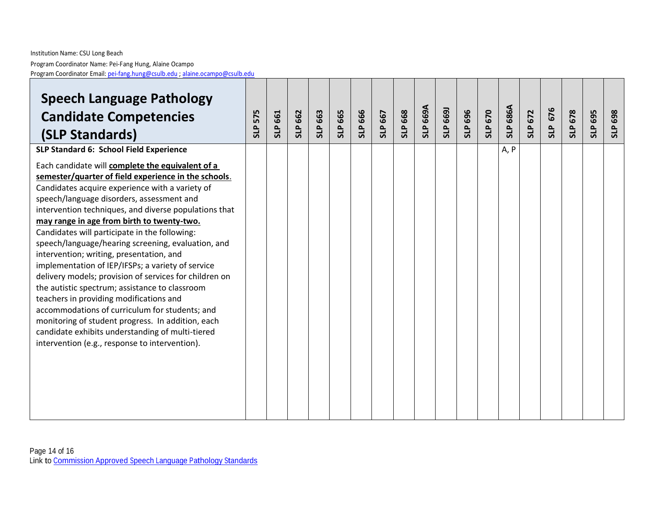| <b>Speech Language Pathology</b><br><b>Candidate Competencies</b><br>(SLP Standards)                                                                                                                                                                                                                                                                                                                                                                                                                                                                                                                                                                                                                                                                                                                                                                                                                                                   | <b>SLP 575</b> | <b>SLP 661</b> | <b>SLP 662</b> | SLP 663 | <b>SLP 665</b> | <b>SLP 666</b> | SLP 667 | <b>SLP 668</b> | SLP 669A | SLP 669J | 696<br>SLP | <b>SLP 670</b> | <b>SLP 686A</b> | 672<br><b>SLP</b> | 676<br>SLP | <b>SLP 678</b> | 695<br><b>SLP</b> | 698<br><b>SLP</b> |
|----------------------------------------------------------------------------------------------------------------------------------------------------------------------------------------------------------------------------------------------------------------------------------------------------------------------------------------------------------------------------------------------------------------------------------------------------------------------------------------------------------------------------------------------------------------------------------------------------------------------------------------------------------------------------------------------------------------------------------------------------------------------------------------------------------------------------------------------------------------------------------------------------------------------------------------|----------------|----------------|----------------|---------|----------------|----------------|---------|----------------|----------|----------|------------|----------------|-----------------|-------------------|------------|----------------|-------------------|-------------------|
| SLP Standard 6: School Field Experience<br>Each candidate will complete the equivalent of a<br>semester/quarter of field experience in the schools.<br>Candidates acquire experience with a variety of<br>speech/language disorders, assessment and<br>intervention techniques, and diverse populations that<br>may range in age from birth to twenty-two.<br>Candidates will participate in the following:<br>speech/language/hearing screening, evaluation, and<br>intervention; writing, presentation, and<br>implementation of IEP/IFSPs; a variety of service<br>delivery models; provision of services for children on<br>the autistic spectrum; assistance to classroom<br>teachers in providing modifications and<br>accommodations of curriculum for students; and<br>monitoring of student progress. In addition, each<br>candidate exhibits understanding of multi-tiered<br>intervention (e.g., response to intervention). |                |                |                |         |                |                |         |                |          |          |            |                | A, P            |                   |            |                |                   |                   |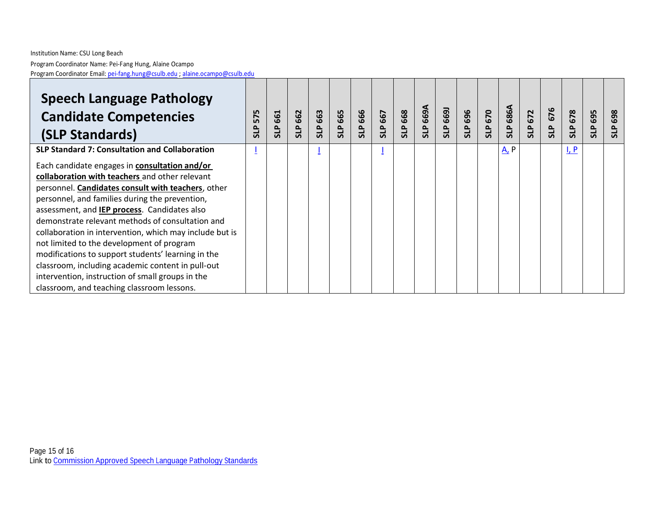| <b>Speech Language Pathology</b><br><b>Candidate Competencies</b><br>(SLP Standards)                                                                                                                                                                                                                                                                                                                                                                                                                                                                                                                                                    | 575<br><b>GLP</b> | 661<br><b>SLP</b> | 662<br>م<br>ال | 663<br><b>qus</b> | 665 | <b>SLP 666</b> | 667<br><b>SLP</b> | 668<br><b>SLP</b> | SLP 669A | 669<br>SLP | 696<br><b>SLP</b> | 670<br>SLP | 686A<br><b>qus</b>            | 672<br><b>SLP</b> | 676<br><b>SLP</b> | 678<br><b>SLP</b> | 695<br><b>SLP</b> | 698<br>۵<br><b>S</b> |
|-----------------------------------------------------------------------------------------------------------------------------------------------------------------------------------------------------------------------------------------------------------------------------------------------------------------------------------------------------------------------------------------------------------------------------------------------------------------------------------------------------------------------------------------------------------------------------------------------------------------------------------------|-------------------|-------------------|----------------|-------------------|-----|----------------|-------------------|-------------------|----------|------------|-------------------|------------|-------------------------------|-------------------|-------------------|-------------------|-------------------|----------------------|
| <b>SLP Standard 7: Consultation and Collaboration</b>                                                                                                                                                                                                                                                                                                                                                                                                                                                                                                                                                                                   |                   |                   |                |                   |     |                |                   |                   |          |            |                   |            | $A$ <sub><math>P</math></sub> |                   |                   | $L_P$             |                   |                      |
| Each candidate engages in <b>consultation and/or</b><br>collaboration with teachers and other relevant<br>personnel. Candidates consult with teachers, other<br>personnel, and families during the prevention,<br>assessment, and IEP process. Candidates also<br>demonstrate relevant methods of consultation and<br>collaboration in intervention, which may include but is<br>not limited to the development of program<br>modifications to support students' learning in the<br>classroom, including academic content in pull-out<br>intervention, instruction of small groups in the<br>classroom, and teaching classroom lessons. |                   |                   |                |                   |     |                |                   |                   |          |            |                   |            |                               |                   |                   |                   |                   |                      |